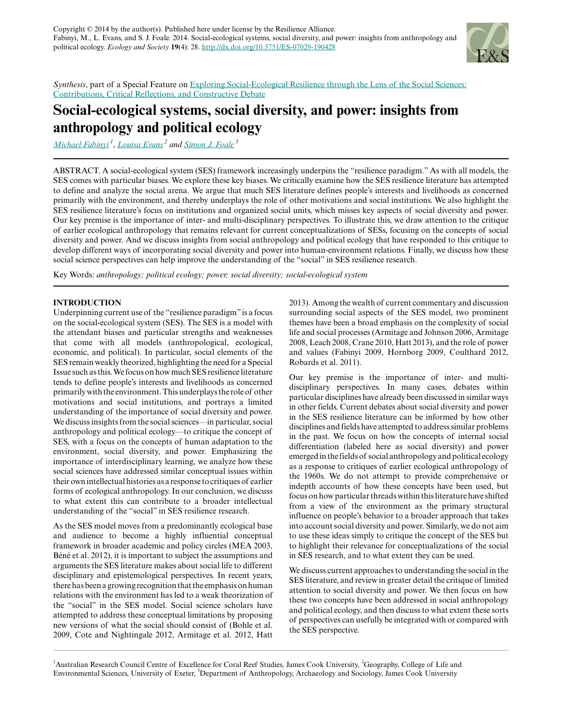

*Synthesis*, part of a Special Feature on [Exploring Social-Ecological Resilience through the Lens of the Social Sciences:](http://www.ecologyandsociety.org/viewissue.php?sf=99) [Contributions, Critical Reflections, and Constructive Debate](http://www.ecologyandsociety.org/viewissue.php?sf=99)

# **Social-ecological systems, social diversity, and power: insights from anthropology and political ecology**

*[Michael Fabinyi](mailto:michael.fabinyi@jcu.edu.au)<sup>1</sup>* , *[Louisa Evans](mailto:louisa.evans@exeter.ac.uk)<sup>2</sup> and [Simon J. Foale](mailto:simon.foale@jcu.edu.au)<sup>3</sup>*

ABSTRACT. A social-ecological system (SES) framework increasingly underpins the "resilience paradigm." As with all models, the SES comes with particular biases. We explore these key biases. We critically examine how the SES resilience literature has attempted to define and analyze the social arena. We argue that much SES literature defines people's interests and livelihoods as concerned primarily with the environment, and thereby underplays the role of other motivations and social institutions. We also highlight the SES resilience literature's focus on institutions and organized social units, which misses key aspects of social diversity and power. Our key premise is the importance of inter- and multi-disciplinary perspectives. To illustrate this, we draw attention to the critique of earlier ecological anthropology that remains relevant for current conceptualizations of SESs, focusing on the concepts of social diversity and power. And we discuss insights from social anthropology and political ecology that have responded to this critique to develop different ways of incorporating social diversity and power into human-environment relations. Finally, we discuss how these social science perspectives can help improve the understanding of the "social" in SES resilience research.

Key Words: *anthropology; political ecology; power; social diversity; social-ecological system*

## **INTRODUCTION**

Underpinning current use of the "resilience paradigm" is a focus on the social-ecological system (SES). The SES is a model with the attendant biases and particular strengths and weaknesses that come with all models (anthropological, ecological, economic, and political). In particular, social elements of the SES remain weakly theorized, highlighting the need for a Special Issue such as this. We focus on how much SES resilience literature tends to define people's interests and livelihoods as concerned primarily with the environment. This underplays the role of other motivations and social institutions, and portrays a limited understanding of the importance of social diversity and power. We discuss insights from the social sciences—in particular, social anthropology and political ecology—to critique the concept of SES, with a focus on the concepts of human adaptation to the environment, social diversity, and power. Emphasizing the importance of interdisciplinary learning, we analyze how these social sciences have addressed similar conceptual issues within their own intellectual histories as a response to critiques of earlier forms of ecological anthropology. In our conclusion, we discuss to what extent this can contribute to a broader intellectual understanding of the "social" in SES resilience research.

As the SES model moves from a predominantly ecological base and audience to become a highly influential conceptual framework in broader academic and policy circles (MEA 2003, Béné et al. 2012), it is important to subject the assumptions and arguments the SES literature makes about social life to different disciplinary and epistemological perspectives. In recent years, there has been a growing recognition that the emphasis on human relations with the environment has led to a weak theorization of the "social" in the SES model. Social science scholars have attempted to address these conceptual limitations by proposing new versions of what the social should consist of (Bohle et al. 2009, Cote and Nightingale 2012, Armitage et al. 2012, Hatt

2013). Among the wealth of current commentary and discussion surrounding social aspects of the SES model, two prominent themes have been a broad emphasis on the complexity of social life and social processes (Armitage and Johnson 2006, Armitage 2008, Leach 2008, Crane 2010, Hatt 2013), and the role of power and values (Fabinyi 2009, Hornborg 2009, Coulthard 2012, Robards et al. 2011).

Our key premise is the importance of inter- and multidisciplinary perspectives. In many cases, debates within particular disciplines have already been discussed in similar ways in other fields. Current debates about social diversity and power in the SES resilience literature can be informed by how other disciplines and fields have attempted to address similar problems in the past. We focus on how the concepts of internal social differentiation (labeled here as social diversity) and power emerged in the fields of social anthropology and political ecology as a response to critiques of earlier ecological anthropology of the 1960s. We do not attempt to provide comprehensive or indepth accounts of how these concepts have been used, but focus on how particular threads within this literature have shifted from a view of the environment as the primary structural influence on people's behavior to a broader approach that takes into account social diversity and power. Similarly, we do not aim to use these ideas simply to critique the concept of the SES but to highlight their relevance for conceptualizations of the social in SES research, and to what extent they can be used.

We discuss current approaches to understanding the social in the SES literature, and review in greater detail the critique of limited attention to social diversity and power. We then focus on how these two concepts have been addressed in social anthropology and political ecology, and then discuss to what extent these sorts of perspectives can usefully be integrated with or compared with the SES perspective.

<sup>1</sup>Australian Research Council Centre of Excellence for Coral Reef Studies, James Cook University, <sup>2</sup>Geography, College of Life and Environmental Sciences, University of Exeter, <sup>3</sup>Department of Anthropology, Archaeology and Sociology, James Cook University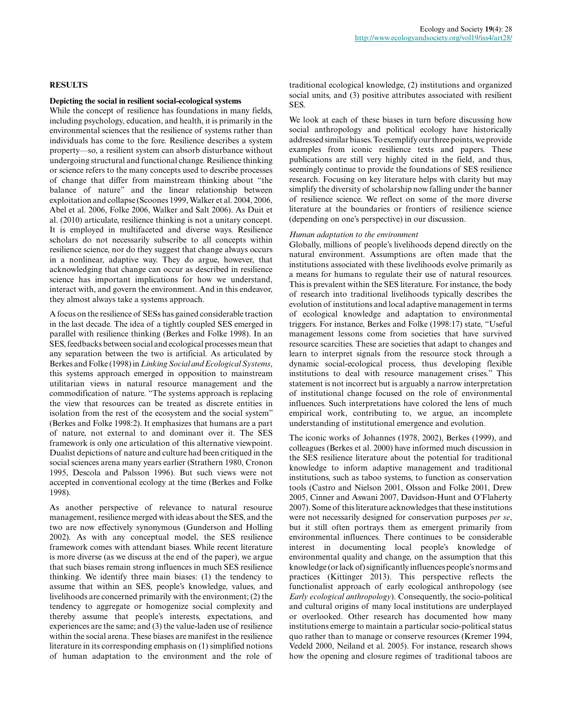#### **Depicting the social in resilient social-ecological systems**

While the concept of resilience has foundations in many fields, including psychology, education, and health, it is primarily in the environmental sciences that the resilience of systems rather than individuals has come to the fore. Resilience describes a system property—so, a resilient system can absorb disturbance without undergoing structural and functional change. Resilience thinking or science refers to the many concepts used to describe processes of change that differ from mainstream thinking about "the balance of nature" and the linear relationship between exploitation and collapse (Scoones 1999, Walker et al. 2004, 2006, Abel et al. 2006, Folke 2006, Walker and Salt 2006). As Duit et al. (2010) articulate, resilience thinking is not a unitary concept. It is employed in multifaceted and diverse ways. Resilience scholars do not necessarily subscribe to all concepts within resilience science, nor do they suggest that change always occurs in a nonlinear, adaptive way. They do argue, however, that acknowledging that change can occur as described in resilience science has important implications for how we understand, interact with, and govern the environment. And in this endeavor, they almost always take a systems approach.

A focus on the resilience of SESs has gained considerable traction in the last decade. The idea of a tightly coupled SES emerged in parallel with resilience thinking (Berkes and Folke 1998). In an SES, feedbacks between social and ecological processes mean that any separation between the two is artificial. As articulated by Berkes and Folke (1998) in *Linking Social and Ecological Systems*, this systems approach emerged in opposition to mainstream utilitarian views in natural resource management and the commodification of nature. "The systems approach is replacing the view that resources can be treated as discrete entities in isolation from the rest of the ecosystem and the social system" (Berkes and Folke 1998:2). It emphasizes that humans are a part of nature, not external to and dominant over it. The SES framework is only one articulation of this alternative viewpoint. Dualist depictions of nature and culture had been critiqued in the social sciences arena many years earlier (Strathern 1980, Cronon 1995, Descola and Palsson 1996). But such views were not accepted in conventional ecology at the time (Berkes and Folke 1998).

As another perspective of relevance to natural resource management, resilience merged with ideas about the SES, and the two are now effectively synonymous (Gunderson and Holling 2002). As with any conceptual model, the SES resilience framework comes with attendant biases. While recent literature is more diverse (as we discuss at the end of the paper), we argue that such biases remain strong influences in much SES resilience thinking. We identify three main biases: (1) the tendency to assume that within an SES, people's knowledge, values, and livelihoods are concerned primarily with the environment; (2) the tendency to aggregate or homogenize social complexity and thereby assume that people's interests, expectations, and experiences are the same; and (3) the value-laden use of resilience within the social arena. These biases are manifest in the resilience literature in its corresponding emphasis on (1) simplified notions of human adaptation to the environment and the role of traditional ecological knowledge, (2) institutions and organized social units, and (3) positive attributes associated with resilient SES.

We look at each of these biases in turn before discussing how social anthropology and political ecology have historically addressed similar biases. To exemplify our three points, we provide examples from iconic resilience texts and papers. These publications are still very highly cited in the field, and thus, seemingly continue to provide the foundations of SES resilience research. Focusing on key literature helps with clarity but may simplify the diversity of scholarship now falling under the banner of resilience science. We reflect on some of the more diverse literature at the boundaries or frontiers of resilience science (depending on one's perspective) in our discussion.

## *Human adaptation to the environment*

Globally, millions of people's livelihoods depend directly on the natural environment. Assumptions are often made that the institutions associated with these livelihoods evolve primarily as a means for humans to regulate their use of natural resources. This is prevalent within the SES literature. For instance, the body of research into traditional livelihoods typically describes the evolution of institutions and local adaptive management in terms of ecological knowledge and adaptation to environmental triggers. For instance, Berkes and Folke (1998:17) state, "Useful management lessons come from societies that have survived resource scarcities. These are societies that adapt to changes and learn to interpret signals from the resource stock through a dynamic social-ecological process, thus developing flexible institutions to deal with resource management crises." This statement is not incorrect but is arguably a narrow interpretation of institutional change focused on the role of environmental influences. Such interpretations have colored the lens of much empirical work, contributing to, we argue, an incomplete understanding of institutional emergence and evolution.

The iconic works of Johannes (1978, 2002), Berkes (1999), and colleagues (Berkes et al. 2000) have informed much discussion in the SES resilience literature about the potential for traditional knowledge to inform adaptive management and traditional institutions, such as taboo systems, to function as conservation tools (Castro and Nielson 2001, Olsson and Folke 2001, Drew 2005, Cinner and Aswani 2007, Davidson-Hunt and O'Flaherty 2007). Some of this literature acknowledges that these institutions were not necessarily designed for conservation purposes *per se*, but it still often portrays them as emergent primarily from environmental influences. There continues to be considerable interest in documenting local people's knowledge of environmental quality and change, on the assumption that this knowledge (or lack of) significantly influences people's norms and practices (Kittinger 2013). This perspective reflects the functionalist approach of early ecological anthropology (see *Early ecological anthropology*). Consequently, the socio-political and cultural origins of many local institutions are underplayed or overlooked. Other research has documented how many institutions emerge to maintain a particular socio-political status quo rather than to manage or conserve resources (Kremer 1994, Vedeld 2000, Neiland et al. 2005). For instance, research shows how the opening and closure regimes of traditional taboos are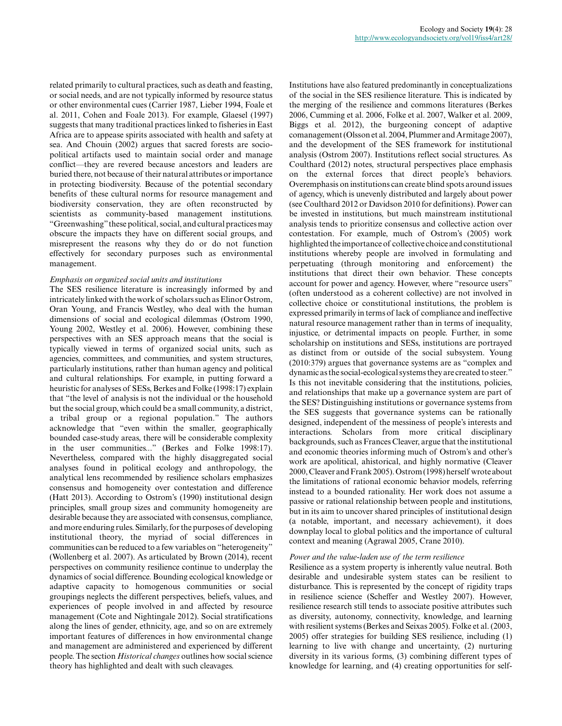related primarily to cultural practices, such as death and feasting, or social needs, and are not typically informed by resource status or other environmental cues (Carrier 1987, Lieber 1994, Foale et al. 2011, Cohen and Foale 2013). For example, Glaesel (1997) suggests that many traditional practices linked to fisheries in East Africa are to appease spirits associated with health and safety at sea. And Chouin (2002) argues that sacred forests are sociopolitical artifacts used to maintain social order and manage conflict—they are revered because ancestors and leaders are buried there, not because of their natural attributes or importance in protecting biodiversity. Because of the potential secondary benefits of these cultural norms for resource management and biodiversity conservation, they are often reconstructed by scientists as community-based management institutions. "Greenwashing" these political, social, and cultural practices may obscure the impacts they have on different social groups, and misrepresent the reasons why they do or do not function effectively for secondary purposes such as environmental management.

#### *Emphasis on organized social units and institutions*

The SES resilience literature is increasingly informed by and intricately linked with the work of scholars such as Elinor Ostrom, Oran Young, and Francis Westley, who deal with the human dimensions of social and ecological dilemmas (Ostrom 1990, Young 2002, Westley et al. 2006). However, combining these perspectives with an SES approach means that the social is typically viewed in terms of organized social units, such as agencies, committees, and communities, and system structures, particularly institutions, rather than human agency and political and cultural relationships. For example, in putting forward a heuristic for analyses of SESs, Berkes and Folke (1998:17) explain that "the level of analysis is not the individual or the household but the social group, which could be a small community, a district, a tribal group or a regional population." The authors acknowledge that "even within the smaller, geographically bounded case-study areas, there will be considerable complexity in the user communities..." (Berkes and Folke 1998:17). Nevertheless, compared with the highly disaggregated social analyses found in political ecology and anthropology, the analytical lens recommended by resilience scholars emphasizes consensus and homogeneity over contestation and difference (Hatt 2013). According to Ostrom's (1990) institutional design principles, small group sizes and community homogeneity are desirable because they are associated with consensus, compliance, and more enduring rules. Similarly, for the purposes of developing institutional theory, the myriad of social differences in communities can be reduced to a few variables on "heterogeneity" (Wollenberg et al. 2007). As articulated by Brown (2014), recent perspectives on community resilience continue to underplay the dynamics of social difference. Bounding ecological knowledge or adaptive capacity to homogenous communities or social groupings neglects the different perspectives, beliefs, values, and experiences of people involved in and affected by resource management (Cote and Nightingale 2012). Social stratifications along the lines of gender, ethnicity, age, and so on are extremely important features of differences in how environmental change and management are administered and experienced by different people. The section *Historical changes* outlines how social science theory has highlighted and dealt with such cleavages.

Institutions have also featured predominantly in conceptualizations of the social in the SES resilience literature. This is indicated by the merging of the resilience and commons literatures (Berkes 2006, Cumming et al. 2006, Folke et al. 2007, Walker et al. 2009, Biggs et al. 2012), the burgeoning concept of adaptive comanagement (Olsson et al. 2004, Plummer and Armitage 2007), and the development of the SES framework for institutional analysis (Ostrom 2007). Institutions reflect social structures. As Coulthard (2012) notes, structural perspectives place emphasis on the external forces that direct people's behaviors. Overemphasis on institutions can create blind spots around issues of agency, which is unevenly distributed and largely about power (see Coulthard 2012 or Davidson 2010 for definitions). Power can be invested in institutions, but much mainstream institutional analysis tends to prioritize consensus and collective action over contestation. For example, much of Ostrom's (2005) work highlighted the importance of collective choice and constitutional institutions whereby people are involved in formulating and perpetuating (through monitoring and enforcement) the institutions that direct their own behavior. These concepts account for power and agency. However, where "resource users" (often understood as a coherent collective) are not involved in collective choice or constitutional institutions, the problem is expressed primarily in terms of lack of compliance and ineffective natural resource management rather than in terms of inequality, injustice, or detrimental impacts on people. Further, in some scholarship on institutions and SESs, institutions are portrayed as distinct from or outside of the social subsystem. Young (2010:379) argues that governance systems are as "complex and dynamic as the social-ecological systems they are created to steer." Is this not inevitable considering that the institutions, policies, and relationships that make up a governance system are part of the SES? Distinguishing institutions or governance systems from the SES suggests that governance systems can be rationally designed, independent of the messiness of people's interests and interactions. Scholars from more critical disciplinary backgrounds, such as Frances Cleaver, argue that the institutional and economic theories informing much of Ostrom's and other's work are apolitical, ahistorical, and highly normative (Cleaver 2000, Cleaver and Frank 2005). Ostrom (1998) herself wrote about the limitations of rational economic behavior models, referring instead to a bounded rationality. Her work does not assume a passive or rational relationship between people and institutions, but in its aim to uncover shared principles of institutional design (a notable, important, and necessary achievement), it does downplay local to global politics and the importance of cultural context and meaning (Agrawal 2005, Crane 2010).

#### *Power and the value-laden use of the term resilience*

Resilience as a system property is inherently value neutral. Both desirable and undesirable system states can be resilient to disturbance. This is represented by the concept of rigidity traps in resilience science (Scheffer and Westley 2007). However, resilience research still tends to associate positive attributes such as diversity, autonomy, connectivity, knowledge, and learning with resilient systems (Berkes and Seixas 2005). Folke et al. (2003, 2005) offer strategies for building SES resilience, including (1) learning to live with change and uncertainty, (2) nurturing diversity in its various forms, (3) combining different types of knowledge for learning, and (4) creating opportunities for self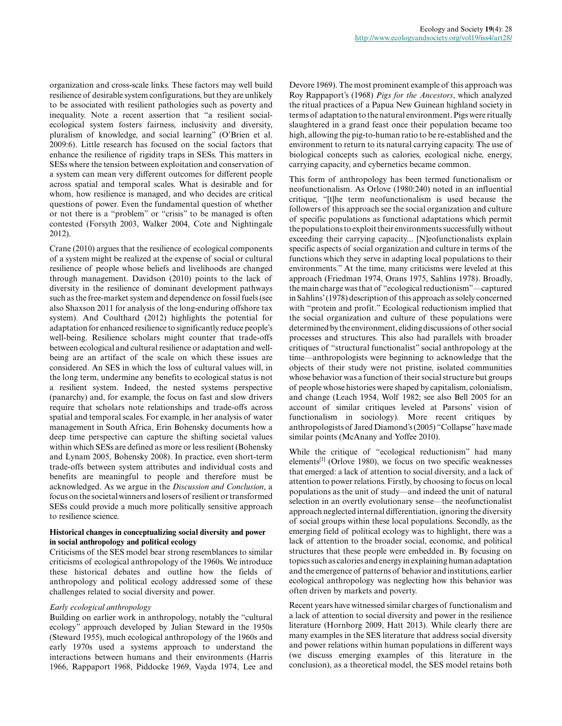organization and cross-scale links. These factors may well build resilience of desirable system configurations, but they are unlikely to be associated with resilient pathologies such as poverty and inequality. Note a recent assertion that "a resilient socialecological system fosters fairness, inclusivity and diversity, pluralism of knowledge, and social learning" (O'Brien et al. 2009:6). Little research has focused on the social factors that enhance the resilience of rigidity traps in SESs. This matters in SESs where the tension between exploitation and conservation of a system can mean very different outcomes for different people across spatial and temporal scales. What is desirable and for whom, how resilience is managed, and who decides are critical questions of power. Even the fundamental question of whether or not there is a "problem" or "crisis" to be managed is often contested (Forsyth 2003, Walker 2004, Cote and Nightingale 2012).

Crane (2010) argues that the resilience of ecological components of a system might be realized at the expense of social or cultural resilience of people whose beliefs and livelihoods are changed through management. Davidson (2010) points to the lack of diversity in the resilience of dominant development pathways such as the free-market system and dependence on fossil fuels (see also Shaxson 2011 for analysis of the long-enduring offshore tax system). And Coulthard (2012) highlights the potential for adaptation for enhanced resilience to significantly reduce people's well-being. Resilience scholars might counter that trade-offs between ecological and cultural resilience or adaptation and wellbeing are an artifact of the scale on which these issues are considered. An SES in which the loss of cultural values will, in the long term, undermine any benefits to ecological status is not a resilient system. Indeed, the nested systems perspective (panarchy) and, for example, the focus on fast and slow drivers require that scholars note relationships and trade-offs across spatial and temporal scales. For example, in her analysis of water management in South Africa, Erin Bohensky documents how a deep time perspective can capture the shifting societal values within which SESs are defined as more or less resilient (Bohensky and Lynam 2005, Bohensky 2008). In practice, even short-term trade-offs between system attributes and individual costs and benefits are meaningful to people and therefore must be acknowledged. As we argue in the *Discussion and Conclusion*, a focus on the societal winners and losers of resilient or transformed SESs could provide a much more politically sensitive approach to resilience science.

## **Historical changes in conceptualizing social diversity and power in social anthropology and political ecology**

Criticisms of the SES model bear strong resemblances to similar criticisms of ecological anthropology of the 1960s. We introduce these historical debates and outline how the fields of anthropology and political ecology addressed some of these challenges related to social diversity and power.

## *Early ecological anthropology*

Building on earlier work in anthropology, notably the "cultural ecology" approach developed by Julian Steward in the 1950s (Steward 1955), much ecological anthropology of the 1960s and early 1970s used a systems approach to understand the interactions between humans and their environments (Harris 1966, Rappaport 1968, Piddocke 1969, Vayda 1974, Lee and Devore 1969). The most prominent example of this approach was Roy Rappaport's (1968) *Pigs for the Ancestors*, which analyzed the ritual practices of a Papua New Guinean highland society in terms of adaptation to the natural environment. Pigs were ritually slaughtered in a grand feast once their population became too high, allowing the pig-to-human ratio to be re-established and the environment to return to its natural carrying capacity. The use of biological concepts such as calories, ecological niche, energy, carrying capacity, and cybernetics became common.

This form of anthropology has been termed functionalism or neofunctionalism. As Orlove (1980:240) noted in an influential critique, "[t]he term neofunctionalism is used because the followers of this approach see the social organization and culture of specific populations as functional adaptations which permit the populations to exploit their environments successfully without exceeding their carrying capacity... [N]eofunctionalists explain specific aspects of social organization and culture in terms of the functions which they serve in adapting local populations to their environments." At the time, many criticisms were leveled at this approach (Friedman 1974, Orans 1975, Sahlins 1978). Broadly, the main charge was that of "ecological reductionism"—captured in Sahlins' (1978) description of this approach as solely concerned with "protein and profit." Ecological reductionism implied that the social organization and culture of these populations were determined by the environment, eliding discussions of other social processes and structures. This also had parallels with broader critiques of "structural functionalist" social anthropology at the time—anthropologists were beginning to acknowledge that the objects of their study were not pristine, isolated communities whose behavior was a function of their social structure but groups of people whose histories were shaped by capitalism, colonialism, and change (Leach 1954, Wolf 1982; see also Bell 2005 for an account of similar critiques leveled at Parsons' vision of functionalism in sociology). More recent critiques by anthropologists of Jared Diamond's (2005) "Collapse" have made similar points (McAnany and Yoffee 2010).

While the critique of "ecological reductionism" had many elements<sup>[1]</sup> (Orlove 1980), we focus on two specific weaknesses that emerged: a lack of attention to social diversity, and a lack of attention to power relations. Firstly, by choosing to focus on local populations as the unit of study—and indeed the unit of natural selection in an overtly evolutionary sense—the neofunctionalist approach neglected internal differentiation, ignoring the diversity of social groups within these local populations. Secondly, as the emerging field of political ecology was to highlight, there was a lack of attention to the broader social, economic, and political structures that these people were embedded in. By focusing on topics such as calories and energy in explaining human adaptation and the emergence of patterns of behavior and institutions, earlier ecological anthropology was neglecting how this behavior was often driven by markets and poverty.

Recent years have witnessed similar charges of functionalism and a lack of attention to social diversity and power in the resilience literature (Hornborg 2009, Hatt 2013). While clearly there are many examples in the SES literature that address social diversity and power relations within human populations in different ways (we discuss emerging examples of this literature in the conclusion), as a theoretical model, the SES model retains both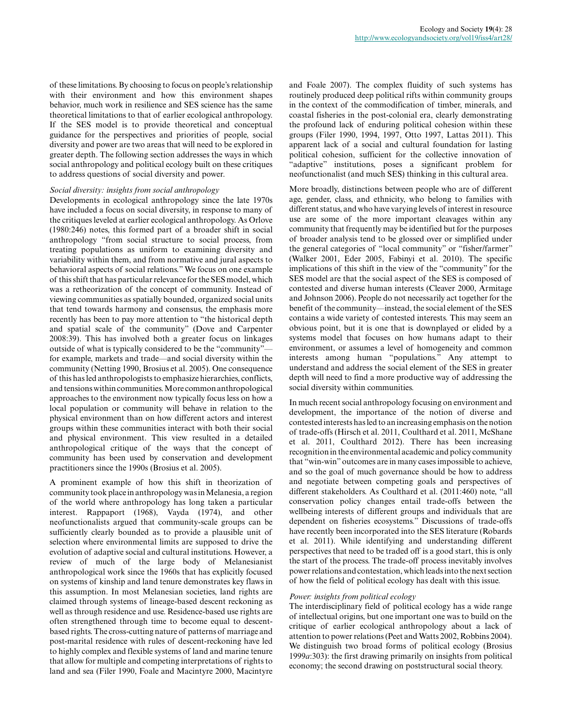of these limitations. By choosing to focus on people's relationship with their environment and how this environment shapes behavior, much work in resilience and SES science has the same theoretical limitations to that of earlier ecological anthropology. If the SES model is to provide theoretical and conceptual guidance for the perspectives and priorities of people, social diversity and power are two areas that will need to be explored in greater depth. The following section addresses the ways in which social anthropology and political ecology built on these critiques to address questions of social diversity and power.

#### *Social diversity: insights from social anthropology*

Developments in ecological anthropology since the late 1970s have included a focus on social diversity, in response to many of the critiques leveled at earlier ecological anthropology. As Orlove (1980:246) notes, this formed part of a broader shift in social anthropology "from social structure to social process, from treating populations as uniform to examining diversity and variability within them, and from normative and jural aspects to behavioral aspects of social relations." We focus on one example of this shift that has particular relevance for the SES model, which was a retheorization of the concept of community. Instead of viewing communities as spatially bounded, organized social units that tend towards harmony and consensus, the emphasis more recently has been to pay more attention to "the historical depth and spatial scale of the community" (Dove and Carpenter 2008:39). This has involved both a greater focus on linkages outside of what is typically considered to be the "community" for example, markets and trade—and social diversity within the community (Netting 1990, Brosius et al. 2005). One consequence of this has led anthropologists to emphasize hierarchies, conflicts, and tensions within communities. More common anthropological approaches to the environment now typically focus less on how a local population or community will behave in relation to the physical environment than on how different actors and interest groups within these communities interact with both their social and physical environment. This view resulted in a detailed anthropological critique of the ways that the concept of community has been used by conservation and development practitioners since the 1990s (Brosius et al. 2005).

A prominent example of how this shift in theorization of community took place in anthropology was in Melanesia, a region of the world where anthropology has long taken a particular interest. Rappaport (1968), Vayda (1974), and other neofunctionalists argued that community-scale groups can be sufficiently clearly bounded as to provide a plausible unit of selection where environmental limits are supposed to drive the evolution of adaptive social and cultural institutions. However, a review of much of the large body of Melanesianist anthropological work since the 1960s that has explicitly focused on systems of kinship and land tenure demonstrates key flaws in this assumption. In most Melanesian societies, land rights are claimed through systems of lineage-based descent reckoning as well as through residence and use. Residence-based use rights are often strengthened through time to become equal to descentbased rights. The cross-cutting nature of patterns of marriage and post-marital residence with rules of descent-reckoning have led to highly complex and flexible systems of land and marine tenure that allow for multiple and competing interpretations of rights to land and sea (Filer 1990, Foale and Macintyre 2000, Macintyre

and Foale 2007). The complex fluidity of such systems has routinely produced deep political rifts within community groups in the context of the commodification of timber, minerals, and coastal fisheries in the post-colonial era, clearly demonstrating the profound lack of enduring political cohesion within these groups (Filer 1990, 1994, 1997, Otto 1997, Lattas 2011). This apparent lack of a social and cultural foundation for lasting political cohesion, sufficient for the collective innovation of "adaptive" institutions, poses a significant problem for neofunctionalist (and much SES) thinking in this cultural area.

More broadly, distinctions between people who are of different age, gender, class, and ethnicity, who belong to families with different status, and who have varying levels of interest in resource use are some of the more important cleavages within any community that frequently may be identified but for the purposes of broader analysis tend to be glossed over or simplified under the general categories of "local community" or "fisher/farmer" (Walker 2001, Eder 2005, Fabinyi et al. 2010). The specific implications of this shift in the view of the "community" for the SES model are that the social aspect of the SES is composed of contested and diverse human interests (Cleaver 2000, Armitage and Johnson 2006). People do not necessarily act together for the benefit of the community—instead, the social element of the SES contains a wide variety of contested interests. This may seem an obvious point, but it is one that is downplayed or elided by a systems model that focuses on how humans adapt to their environment, or assumes a level of homogeneity and common interests among human "populations." Any attempt to understand and address the social element of the SES in greater depth will need to find a more productive way of addressing the social diversity within communities.

In much recent social anthropology focusing on environment and development, the importance of the notion of diverse and contested interests has led to an increasing emphasis on the notion of trade-offs (Hirsch et al. 2011, Coulthard et al. 2011, McShane et al. 2011, Coulthard 2012). There has been increasing recognition in the environmental academic and policy community that "win-win" outcomes are in many cases impossible to achieve, and so the goal of much governance should be how to address and negotiate between competing goals and perspectives of different stakeholders. As Coulthard et al. (2011:460) note, "all conservation policy changes entail trade-offs between the wellbeing interests of different groups and individuals that are dependent on fisheries ecosystems." Discussions of trade-offs have recently been incorporated into the SES literature (Robards et al. 2011). While identifying and understanding different perspectives that need to be traded off is a good start, this is only the start of the process. The trade-off process inevitably involves power relations and contestation, which leads into the next section of how the field of political ecology has dealt with this issue.

#### *Power: insights from political ecology*

The interdisciplinary field of political ecology has a wide range of intellectual origins, but one important one was to build on the critique of earlier ecological anthropology about a lack of attention to power relations (Peet and Watts 2002, Robbins 2004). We distinguish two broad forms of political ecology (Brosius 1999*a*:303): the first drawing primarily on insights from political economy; the second drawing on poststructural social theory.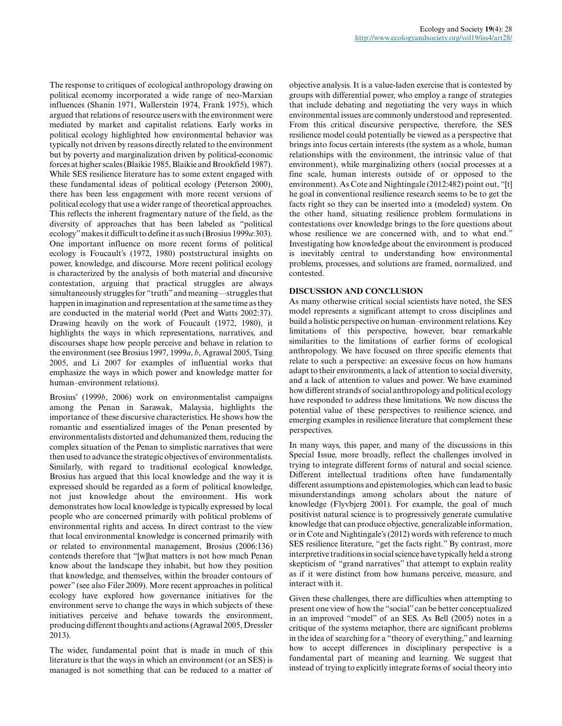The response to critiques of ecological anthropology drawing on political economy incorporated a wide range of neo-Marxian influences (Shanin 1971, Wallerstein 1974, Frank 1975), which argued that relations of resource users with the environment were mediated by market and capitalist relations. Early works in political ecology highlighted how environmental behavior was typically not driven by reasons directly related to the environment but by poverty and marginalization driven by political-economic forces at higher scales (Blaikie 1985, Blaikie and Brookfield 1987). While SES resilience literature has to some extent engaged with these fundamental ideas of political ecology (Peterson 2000), there has been less engagement with more recent versions of political ecology that use a wider range of theoretical approaches. This reflects the inherent fragmentary nature of the field, as the diversity of approaches that has been labeled as "political ecology" makes it difficult to define it as such (Brosius 1999*a*:303). One important influence on more recent forms of political ecology is Foucault's (1972, 1980) poststructural insights on power, knowledge, and discourse. More recent political ecology is characterized by the analysis of both material and discursive contestation, arguing that practical struggles are always simultaneously struggles for "truth" and meaning—struggles that happen in imagination and representation at the same time as they are conducted in the material world (Peet and Watts 2002:37). Drawing heavily on the work of Foucault (1972, 1980), it highlights the ways in which representations, narratives, and discourses shape how people perceive and behave in relation to the environment (see Brosius 1997, 1999*a*, *b*, Agrawal 2005, Tsing 2005, and Li 2007 for examples of influential works that emphasize the ways in which power and knowledge matter for human–environment relations).

Brosius' (1999*b*, 2006) work on environmentalist campaigns among the Penan in Sarawak, Malaysia, highlights the importance of these discursive characteristics. He shows how the romantic and essentialized images of the Penan presented by environmentalists distorted and dehumanized them, reducing the complex situation of the Penan to simplistic narratives that were then used to advance the strategic objectives of environmentalists. Similarly, with regard to traditional ecological knowledge, Brosius has argued that this local knowledge and the way it is expressed should be regarded as a form of political knowledge, not just knowledge about the environment. His work demonstrates how local knowledge is typically expressed by local people who are concerned primarily with political problems of environmental rights and access. In direct contrast to the view that local environmental knowledge is concerned primarily with or related to environmental management, Brosius (2006:136) contends therefore that "[w]hat matters is not how much Penan know about the landscape they inhabit, but how they position that knowledge, and themselves, within the broader contours of power" (see also Filer 2009). More recent approaches in political ecology have explored how governance initiatives for the environment serve to change the ways in which subjects of these initiatives perceive and behave towards the environment, producing different thoughts and actions (Agrawal 2005, Dressler 2013).

The wider, fundamental point that is made in much of this literature is that the ways in which an environment (or an SES) is managed is not something that can be reduced to a matter of objective analysis. It is a value-laden exercise that is contested by groups with differential power, who employ a range of strategies that include debating and negotiating the very ways in which environmental issues are commonly understood and represented. From this critical discursive perspective, therefore, the SES resilience model could potentially be viewed as a perspective that brings into focus certain interests (the system as a whole, human relationships with the environment, the intrinsic value of that environment), while marginalizing others (social processes at a fine scale, human interests outside of or opposed to the environment). As Cote and Nightingale (2012:482) point out, "[t] he goal in conventional resilience research seems to be to get the facts right so they can be inserted into a (modeled) system. On the other hand, situating resilience problem formulations in contestations over knowledge brings to the fore questions about whose resilience we are concerned with, and to what end." Investigating how knowledge about the environment is produced is inevitably central to understanding how environmental problems, processes, and solutions are framed, normalized, and contested.

## **DISCUSSION AND CONCLUSION**

As many otherwise critical social scientists have noted, the SES model represents a significant attempt to cross disciplines and build a holistic perspective on human–environment relations. Key limitations of this perspective, however, bear remarkable similarities to the limitations of earlier forms of ecological anthropology. We have focused on three specific elements that relate to such a perspective: an excessive focus on how humans adapt to their environments, a lack of attention to social diversity, and a lack of attention to values and power. We have examined how different strands of social anthropology and political ecology have responded to address these limitations. We now discuss the potential value of these perspectives to resilience science, and emerging examples in resilience literature that complement these perspectives.

In many ways, this paper, and many of the discussions in this Special Issue, more broadly, reflect the challenges involved in trying to integrate different forms of natural and social science. Different intellectual traditions often have fundamentally different assumptions and epistemologies, which can lead to basic misunderstandings among scholars about the nature of knowledge (Flyvbjerg 2001). For example, the goal of much positivist natural science is to progressively generate cumulative knowledge that can produce objective, generalizable information, or in Cote and Nightingale's (2012) words with reference to much SES resilience literature, "get the facts right." By contrast, more interpretive traditions in social science have typically held a strong skepticism of "grand narratives" that attempt to explain reality as if it were distinct from how humans perceive, measure, and interact with it.

Given these challenges, there are difficulties when attempting to present one view of how the "social" can be better conceptualized in an improved "model" of an SES. As Bell (2005) notes in a critique of the systems metaphor, there are significant problems in the idea of searching for a "theory of everything," and learning how to accept differences in disciplinary perspective is a fundamental part of meaning and learning. We suggest that instead of trying to explicitly integrate forms of social theory into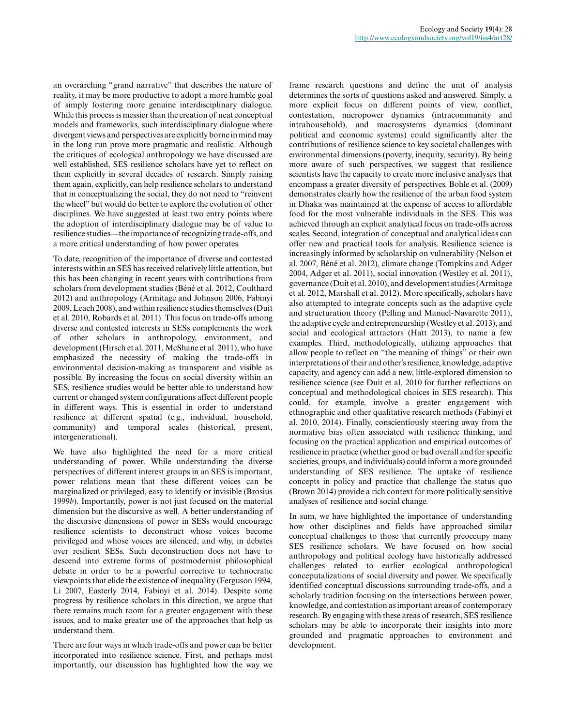an overarching "grand narrative" that describes the nature of reality, it may be more productive to adopt a more humble goal of simply fostering more genuine interdisciplinary dialogue. While this process is messier than the creation of neat conceptual models and frameworks, such interdisciplinary dialogue where divergent views and perspectives are explicitly borne in mind may in the long run prove more pragmatic and realistic. Although the critiques of ecological anthropology we have discussed are well established, SES resilience scholars have yet to reflect on them explicitly in several decades of research. Simply raising them again, explicitly, can help resilience scholars to understand that in conceptualizing the social, they do not need to "reinvent the wheel" but would do better to explore the evolution of other disciplines. We have suggested at least two entry points where the adoption of interdisciplinary dialogue may be of value to resilience studies—the importance of recognizing trade-offs, and a more critical understanding of how power operates.

To date, recognition of the importance of diverse and contested interests within an SES has received relatively little attention, but this has been changing in recent years with contributions from scholars from development studies (Béné et al. 2012, Coulthard 2012) and anthropology (Armitage and Johnson 2006, Fabinyi 2009, Leach 2008), and within resilience studies themselves (Duit et al. 2010, Robards et al. 2011). This focus on trade-offs among diverse and contested interests in SESs complements the work of other scholars in anthropology, environment, and development (Hirsch et al. 2011, McShane et al. 2011), who have emphasized the necessity of making the trade-offs in environmental decision-making as transparent and visible as possible. By increasing the focus on social diversity within an SES, resilience studies would be better able to understand how current or changed system configurations affect different people in different ways. This is essential in order to understand resilience at different spatial (e.g., individual, household, community) and temporal scales (historical, present, intergenerational).

We have also highlighted the need for a more critical understanding of power. While understanding the diverse perspectives of different interest groups in an SES is important, power relations mean that these different voices can be marginalized or privileged, easy to identify or invisible (Brosius 1999*b*). Importantly, power is not just focused on the material dimension but the discursive as well. A better understanding of the discursive dimensions of power in SESs would encourage resilience scientists to deconstruct whose voices become privileged and whose voices are silenced, and why, in debates over resilient SESs. Such deconstruction does not have to descend into extreme forms of postmodernist philosophical debate in order to be a powerful corrective to technocratic viewpoints that elide the existence of inequality (Ferguson 1994, Li 2007, Easterly 2014, Fabinyi et al. 2014). Despite some progress by resilience scholars in this direction, we argue that there remains much room for a greater engagement with these issues, and to make greater use of the approaches that help us understand them.

There are four ways in which trade-offs and power can be better incorporated into resilience science. First, and perhaps most importantly, our discussion has highlighted how the way we frame research questions and define the unit of analysis determines the sorts of questions asked and answered. Simply, a more explicit focus on different points of view, conflict, contestation, micropower dynamics (intracommunity and intrahousehold), and macrosystems dynamics (dominant political and economic systems) could significantly alter the contributions of resilience science to key societal challenges with environmental dimensions (poverty, inequity, security). By being more aware of such perspectives, we suggest that resilience scientists have the capacity to create more inclusive analyses that encompass a greater diversity of perspectives. Bohle et al. (2009) demonstrates clearly how the resilience of the urban food system in Dhaka was maintained at the expense of access to affordable food for the most vulnerable individuals in the SES. This was achieved through an explicit analytical focus on trade-offs across scales. Second, integration of conceptual and analytical ideas can offer new and practical tools for analysis. Resilience science is increasingly informed by scholarship on vulnerability (Nelson et al. 2007, Béné et al. 2012), climate change (Tompkins and Adger 2004, Adger et al. 2011), social innovation (Westley et al. 2011), governance (Duit et al. 2010), and development studies (Armitage et al. 2012, Marshall et al. 2012). More specifically, scholars have also attempted to integrate concepts such as the adaptive cycle and structuration theory (Pelling and Manuel-Navarette 2011), the adaptive cycle and entrepreneurship (Westley et al. 2013), and social and ecological attractors (Hatt 2013), to name a few examples. Third, methodologically, utilizing approaches that allow people to reflect on "the meaning of things" or their own interpretations of their and other's resilience, knowledge, adaptive capacity, and agency can add a new, little-explored dimension to resilience science (see Duit et al. 2010 for further reflections on conceptual and methodological choices in SES research). This could, for example, involve a greater engagement with ethnographic and other qualitative research methods (Fabinyi et al. 2010, 2014). Finally, conscientiously steering away from the normative bias often associated with resilience thinking, and focusing on the practical application and empirical outcomes of resilience in practice (whether good or bad overall and for specific societies, groups, and individuals) could inform a more grounded understanding of SES resilience. The uptake of resilience concepts in policy and practice that challenge the status quo (Brown 2014) provide a rich context for more politically sensitive analyses of resilience and social change.

In sum, we have highlighted the importance of understanding how other disciplines and fields have approached similar conceptual challenges to those that currently preoccupy many SES resilience scholars. We have focused on how social anthropology and political ecology have historically addressed challenges related to earlier ecological anthropological conceputalizations of social diversity and power. We specifically identified conceptual discussions surrounding trade-offs, and a scholarly tradition focusing on the intersections between power, knowledge, and contestation as important areas of contemporary research. By engaging with these areas of research, SES resilience scholars may be able to incorporate their insights into more grounded and pragmatic approaches to environment and development.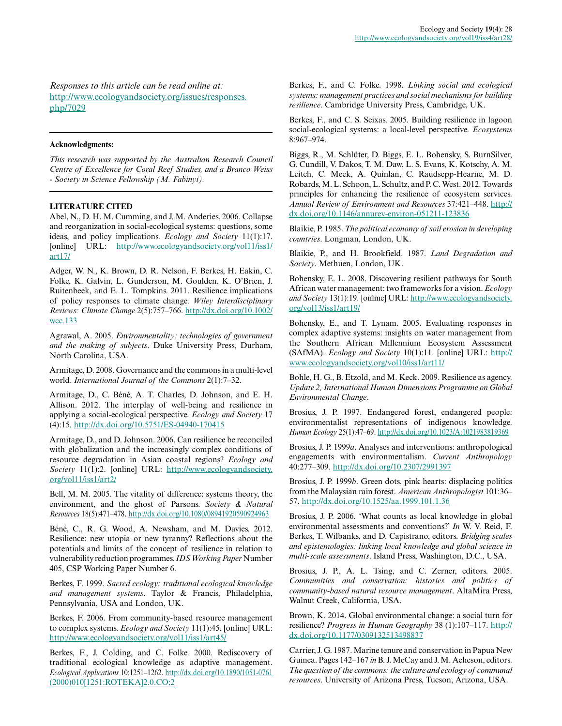*Responses to this article can be read online at:* [http://www.ecologyandsociety.org/issues/responses.](http://www.ecologyandsociety.org/issues/responses.php/7029) [php/7029](http://www.ecologyandsociety.org/issues/responses.php/7029)

## **Acknowledgments:**

*This research was supported by the Australian Research Council Centre of Excellence for Coral Reef Studies, and a Branco Weiss - Society in Science Fellowship (M. Fabinyi).*

## **LITERATURE CITED**

Abel, N., D. H. M. Cumming, and J. M. Anderies. 2006. Collapse and reorganization in social-ecological systems: questions, some ideas, and policy implications. *Ecology and Society* 11(1):17. [online] URL: [http://www.ecologyandsociety.org/vol11/iss1/](http://www.ecologyandsociety.org/vol11/iss1/art17/) [art17/](http://www.ecologyandsociety.org/vol11/iss1/art17/)

Adger, W. N., K. Brown, D. R. Nelson, F. Berkes, H. Eakin, C. Folke, K. Galvin, L. Gunderson, M. Goulden, K. O'Brien, J. Ruitenbeek, and E. L. Tompkins. 2011. Resilience implications of policy responses to climate change. *Wiley Interdisciplinary Reviews: Climate Change* 2(5):757–766. [http://dx.doi.org/10.1002/](http://dx.doi.org/10.1002%2Fwcc.133) [wcc.133](http://dx.doi.org/10.1002%2Fwcc.133)

Agrawal, A. 2005. *Environmentality: technologies of government and the making of subjects*. Duke University Press, Durham, North Carolina, USA.

Armitage, D. 2008. Governance and the commons in a multi-level world. *International Journal of the Commons* 2(1):7–32.

Armitage, D., C. Béné, A. T. Charles, D. Johnson, and E. H. Allison. 2012. The interplay of well-being and resilience in applying a social-ecological perspective. *Ecology and Society* 17 (4):15. [http://dx.doi.org/10.5751/ES-04940-170415](http://dx.doi.org/10.5751%2FES-04940-170415)

Armitage, D., and D. Johnson. 2006. Can resilience be reconciled with globalization and the increasingly complex conditions of resource degradation in Asian coastal regions? *Ecology and Society* 11(1):2. [online] URL: [http://www.ecologyandsociety.](http://www.ecologyandsociety.org/vol11/iss1/art2/) [org/vol11/iss1/art2/](http://www.ecologyandsociety.org/vol11/iss1/art2/) 

Bell, M. M. 2005. The vitality of difference: systems theory, the environment, and the ghost of Parsons. *Society & Natural Resources* 18(5):471–478. [http://dx.doi.org/10.1080/08941920590924963](http://dx.doi.org/10.1080%2F08941920590924963)

Béné, C., R. G. Wood, A. Newsham, and M. Davies. 2012. Resilience: new utopia or new tyranny? Reflections about the potentials and limits of the concept of resilience in relation to vulnerability reduction programmes. *IDS Working Paper* Number 405, CSP Working Paper Number 6.

Berkes, F. 1999. *Sacred ecology: traditional ecological knowledge and management systems*. Taylor & Francis, Philadelphia, Pennsylvania, USA and London, UK.

Berkes, F. 2006. From community-based resource management to complex systems. *Ecology and Society* 11(1):45. [online] URL: <http://www.ecologyandsociety.org/vol11/iss1/art45/>

Berkes, F., J. Colding, and C. Folke. 2000. Rediscovery of traditional ecological knowledge as adaptive management. *Ecological Applications* 10:1251–1262. [http://dx.doi.org/10.1890/1051-0761](http://dx.doi.org/10.1890%2F1051-0761%282000%29010%5B1251%3AROTEKA%5D2.0.CO%3B2) [\(2000\)010\[1251:ROTEKA\]2.0.CO;2](http://dx.doi.org/10.1890%2F1051-0761%282000%29010%5B1251%3AROTEKA%5D2.0.CO%3B2)

Berkes, F., and C. Folke. 1998. *Linking social and ecological systems: management practices and social mechanisms for building resilience*. Cambridge University Press, Cambridge, UK.

Berkes, F., and C. S. Seixas. 2005. Building resilience in lagoon social-ecological systems: a local-level perspective. *Ecosystems* 8:967–974.

Biggs, R., M. Schlüter, D. Biggs, E. L. Bohensky, S. BurnSilver, G. Cundill, V. Dakos, T. M. Daw, L. S. Evans, K. Kotschy, A. M. Leitch, C. Meek, A. Quinlan, C. Raudsepp-Hearne, M. D. Robards, M. L. Schoon, L. Schultz, and P. C. West. 2012. Towards principles for enhancing the resilience of ecosystem services. *Annual Review of Environment and Resources* 37:421–448. [http://](http://dx.doi.org/10.1146%2Fannurev-environ-051211-123836) [dx.doi.org/10.1146/annurev-environ-051211-123836](http://dx.doi.org/10.1146%2Fannurev-environ-051211-123836)

Blaikie, P. 1985. *The political economy of soil erosion in developing countries*. Longman, London, UK.

Blaikie, P., and H. Brookfield. 1987. *Land Degradation and Society*. Methuen, London, UK.

Bohensky, E. L. 2008. Discovering resilient pathways for South African water management: two frameworks for a vision. *Ecology and Society* 13(1):19. [online] URL: [http://www.ecologyandsociety.](http://www.ecologyandsociety.org/vol13/iss1/art19/) [org/vol13/iss1/art19/](http://www.ecologyandsociety.org/vol13/iss1/art19/)

Bohensky, E., and T. Lynam. 2005. Evaluating responses in complex adaptive systems: insights on water management from the Southern African Millennium Ecosystem Assessment (SAfMA). *Ecology and Society* 10(1):11. [online] URL: [http://](http://www.ecologyandsociety.org/vol10/iss1/art11/) [www.ecologyandsociety.org/vol10/iss1/art11/](http://www.ecologyandsociety.org/vol10/iss1/art11/)

Bohle, H. G., B. Etzold, and M. Keck. 2009. Resilience as agency. *Update 2, International Human Dimensions Programme on Global Environmental Change*.

Brosius, J. P. 1997. Endangered forest, endangered people: environmentalist representations of indigenous knowledge. *Human Ecology* 25(1):47–69. [http://dx.doi.org/10.1023/A:1021983819369](http://dx.doi.org/10.1023%2FA%3A1021983819369)

Brosius, J. P. 1999*a*. Analyses and interventions: anthropological engagements with environmentalism. *Current Anthropology* 40:277–309. [http://dx.doi.org/10.2307/2991397](http://dx.doi.org/10.2307%2F2991397)

Brosius, J. P. 1999*b*. Green dots, pink hearts: displacing politics from the Malaysian rain forest. *American Anthropologist* 101:36– 57. [http://dx.doi.org/10.1525/aa.1999.101.1.36](http://dx.doi.org/10.1525%2Faa.1999.101.1.36) 

Brosius, J. P. 2006. 'What counts as local knowledge in global environmental assessments and conventions?' *In* W. V. Reid, F. Berkes, T. Wilbanks, and D. Capistrano, editors. *Bridging scales and epistemologies: linking local knowledge and global science in multi-scale assessments*. Island Press, Washington, D.C., USA.

Brosius, J. P., A. L. Tsing, and C. Zerner, editors. 2005. *Communities and conservation: histories and politics of community-based natural resource management*. AltaMira Press, Walnut Creek, California, USA.

Brown, K. 2014. Global environmental change: a social turn for resilience? *Progress in Human Geography* 38 (1):107–117. [http://](http://dx.doi.org/10.1177%2F0309132513498837) [dx.doi.org/10.1177/0309132513498837](http://dx.doi.org/10.1177%2F0309132513498837) 

Carrier, J. G. 1987. Marine tenure and conservation in Papua New Guinea. Pages 142–167 *in* B. J. McCay and J. M. Acheson, editors. *The question of the commons: the culture and ecology of communal resources*. University of Arizona Press, Tucson, Arizona, USA.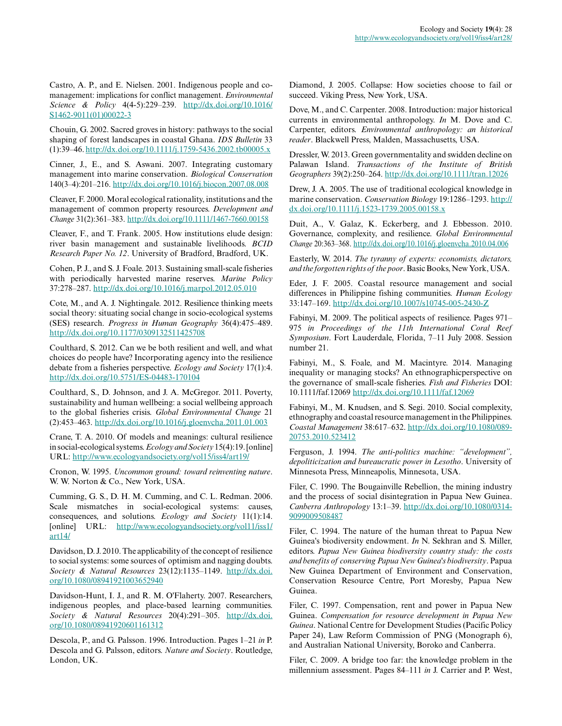Castro, A. P., and E. Nielsen. 2001. Indigenous people and comanagement: implications for conflict management. *Environmental Science & Policy* 4(4-5):229–239. [http://dx.doi.org/10.1016/](http://dx.doi.org/10.1016%2FS1462-9011%2801%2900022-3) [S1462-9011\(01\)00022-3](http://dx.doi.org/10.1016%2FS1462-9011%2801%2900022-3) 

Chouin, G. 2002. Sacred groves in history: pathways to the social shaping of forest landscapes in coastal Ghana. *IDS Bulletin* 33 (1):39–46. [http://dx.doi.org/10.1111/j.1759-5436.2002.tb00005.x](http://dx.doi.org/10.1111%2Fj.1759-5436.2002.tb00005.x) 

Cinner, J., E., and S. Aswani. 2007. Integrating customary management into marine conservation. *Biological Conservation* 140(3–4):201–216. [http://dx.doi.org/10.1016/j.biocon.2007.08.008](http://dx.doi.org/10.1016%2Fj.biocon.2007.08.008) 

Cleaver, F. 2000. Moral ecological rationality, institutions and the management of common property resources. *Development and Change* 31(2):361–383. [http://dx.doi.org/10.1111/1467-7660.00158](http://dx.doi.org/10.1111%2F1467-7660.00158) 

Cleaver, F., and T. Frank. 2005. How institutions elude design: river basin management and sustainable livelihoods. *BCID Research Paper No. 12*. University of Bradford, Bradford, UK.

Cohen, P. J., and S. J. Foale. 2013. Sustaining small-scale fisheries with periodically harvested marine reserves. *Marine Policy* 37:278–287. [http://dx.doi.org/10.1016/j.marpol.2012.05.010](http://dx.doi.org/10.1016%2Fj.marpol.2012.05.010)

Cote, M., and A. J. Nightingale. 2012. Resilience thinking meets social theory: situating social change in socio-ecological systems (SES) research. *Progress in Human Geography* 36(4):475–489. [http://dx.doi.org/10.1177/0309132511425708](http://dx.doi.org/10.1177%2F0309132511425708)

Coulthard, S. 2012. Can we be both resilient and well, and what choices do people have? Incorporating agency into the resilience debate from a fisheries perspective. *Ecology and Society* 17(1):4. [http://dx.doi.org/10.5751/ES-04483-170104](http://dx.doi.org/10.5751%2FES-04483-170104) 

Coulthard, S., D. Johnson, and J. A. McGregor. 2011. Poverty, sustainability and human wellbeing: a social wellbeing approach to the global fisheries crisis. *Global Environmental Change* 21 (2):453–463. [http://dx.doi.org/10.1016/j.gloenvcha.2011.01.003](http://dx.doi.org/10.1016%2Fj.gloenvcha.2011.01.003)

Crane, T. A. 2010. Of models and meanings: cultural resilience in social-ecological systems. *Ecology and Society* 15(4):19. [online] URL:<http://www.ecologyandsociety.org/vol15/iss4/art19/>

Cronon, W. 1995. *Uncommon ground: toward reinventing nature*. W. W. Norton & Co., New York, USA.

Cumming, G. S., D. H. M. Cumming, and C. L. Redman. 2006. Scale mismatches in social-ecological systems: causes, consequences, and solutions. *Ecology and Society* 11(1):14. [online] URL: [http://www.ecologyandsociety.org/vol11/iss1/](http://www.ecologyandsociety.org/vol11/iss1/art14/) [art14/](http://www.ecologyandsociety.org/vol11/iss1/art14/)

Davidson, D. J. 2010. The applicability of the concept of resilience to social systems: some sources of optimism and nagging doubts. *Society & Natural Resources* 23(12):1135–1149. [http://dx.doi.](http://dx.doi.org/10.1080%2F08941921003652940) [org/10.1080/08941921003652940](http://dx.doi.org/10.1080%2F08941921003652940) 

Davidson-Hunt, I. J., and R. M. O'Flaherty. 2007. Researchers, indigenous peoples, and place-based learning communities. *Society & Natural Resources* 20(4):291–305. [http://dx.doi.](http://dx.doi.org/10.1080%2F08941920601161312) [org/10.1080/08941920601161312](http://dx.doi.org/10.1080%2F08941920601161312) 

Descola, P., and G. Palsson. 1996. Introduction. Pages 1–21 *in* P. Descola and G. Palsson, editors. *Nature and Society*. Routledge, London, UK.

Diamond, J. 2005. Collapse: How societies choose to fail or succeed. Viking Press, New York, USA.

Dove, M., and C. Carpenter. 2008. Introduction: major historical currents in environmental anthropology. *In* M. Dove and C. Carpenter, editors. *Environmental anthropology: an historical reader*. Blackwell Press, Malden, Massachusetts, USA.

Dressler, W. 2013. Green governmentality and swidden decline on Palawan Island. *Transactions of the Institute of British Geographers* 39(2):250–264. [http://dx.doi.org/10.1111/tran.12026](http://dx.doi.org/10.1111%2Ftran.12026) 

Drew, J. A. 2005. The use of traditional ecological knowledge in marine conservation. *Conservation Biology* 19:1286–1293. [http://](http://dx.doi.org/10.1111%2Fj.1523-1739.2005.00158.x) [dx.doi.org/10.1111/j.1523-1739.2005.00158.x](http://dx.doi.org/10.1111%2Fj.1523-1739.2005.00158.x)

Duit, A., V. Galaz, K. Eckerberg, and J. Ebbesson. 2010. Governance, complexity, and resilience. *Global Environmental Change* 20:363–368. [http://dx.doi.org/10.1016/j.gloenvcha.2010.04.006](http://dx.doi.org/10.1016%2Fj.gloenvcha.2010.04.006) 

Easterly, W. 2014. *The tyranny of experts: economists, dictators, and the forgotten rights of the poor*. Basic Books, New York, USA.

Eder, J. F. 2005. Coastal resource management and social differences in Philippine fishing communities. *Human Ecology* 33:147–169. [http://dx.doi.org/10.1007/s10745-005-2430-Z](http://dx.doi.org/10.1007%2Fs10745-005-2430-Z)

Fabinyi, M. 2009. The political aspects of resilience. Pages 971– 975 *in Proceedings of the 11th International Coral Reef Symposium*. Fort Lauderdale, Florida, 7–11 July 2008. Session number 21.

Fabinyi, M., S. Foale, and M. Macintyre. 2014. Managing inequality or managing stocks? An ethnographicperspective on the governance of small-scale fisheries. *Fish and Fisheries* DOI: 10.1111/faf.12069 [http://dx.doi.org/10.1111/faf.12069](http://dx.doi.org/10.1111%2Ffaf.12069)

Fabinyi, M., M. Knudsen, and S. Segi. 2010. Social complexity, ethnography and coastal resource management in the Philippines. *Coastal Management* 38:617–632. [http://dx.doi.org/10.1080/089](http://dx.doi.org/10.1080%2F08920753.2010.523412) [20753.2010.523412](http://dx.doi.org/10.1080%2F08920753.2010.523412)

Ferguson, J. 1994. *The anti-politics machine: "development", depoliticization and bureaucratic power in Lesotho*. University of Minnesota Press, Minneapolis, Minnesota, USA.

Filer, C. 1990. The Bougainville Rebellion, the mining industry and the process of social disintegration in Papua New Guinea. *Canberra Anthropology* 13:1–39. [http://dx.doi.org/10.1080/0314](http://dx.doi.org/10.1080%2F03149099009508487) [9099009508487](http://dx.doi.org/10.1080%2F03149099009508487) 

Filer, C. 1994. The nature of the human threat to Papua New Guinea's biodiversity endowment. *In* N. Sekhran and S. Miller, editors. *Papua New Guinea biodiversity country study: the costs and benefits of conserving Papua New Guinea's biodiversity*. Papua New Guinea Department of Environment and Conservation, Conservation Resource Centre, Port Moresby, Papua New Guinea.

Filer, C. 1997. Compensation, rent and power in Papua New Guinea. *Compensation for resource development in Papua New Guinea*. National Centre for Development Studies (Pacific Policy Paper 24), Law Reform Commission of PNG (Monograph 6), and Australian National University, Boroko and Canberra.

Filer, C. 2009. A bridge too far: the knowledge problem in the millennium assessment. Pages 84–111 *in* J. Carrier and P. West,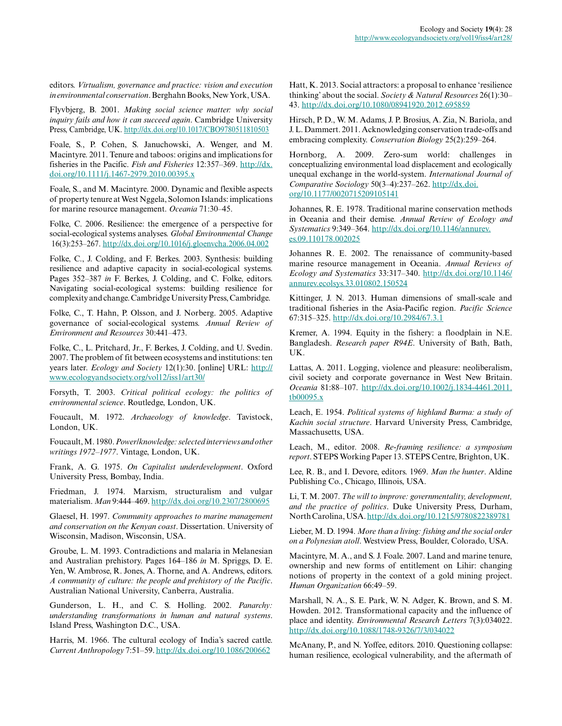editors. *Virtualism, governance and practice: vision and execution in environmental conservation*. Berghahn Books, New York, USA.

Flyvbjerg, B. 2001. *Making social science matter: why social inquiry fails and how it can succeed again*. Cambridge University Press, Cambridge, UK. [http://dx.doi.org/10.1017/CBO9780511810503](http://dx.doi.org/10.1017%2FCBO9780511810503) 

Foale, S., P. Cohen, S. Januchowski, A. Wenger, and M. Macintyre. 2011. Tenure and taboos: origins and implications for fisheries in the Pacific. *Fish and Fisheries* 12:357–369. [http://dx.](http://dx.doi.org/10.1111%2Fj.1467-2979.2010.00395.x) [doi.org/10.1111/j.1467-2979.2010.00395.x](http://dx.doi.org/10.1111%2Fj.1467-2979.2010.00395.x)

Foale, S., and M. Macintyre. 2000. Dynamic and flexible aspects of property tenure at West Nggela, Solomon Islands: implications for marine resource management. *Oceania* 71:30–45.

Folke, C. 2006. Resilience: the emergence of a perspective for social-ecological systems analyses. *Global Environmental Change* 16(3):253–267. [http://dx.doi.org/10.1016/j.gloenvcha.2006.04.002](http://dx.doi.org/10.1016%2Fj.gloenvcha.2006.04.002) 

Folke, C., J. Colding, and F. Berkes. 2003. Synthesis: building resilience and adaptive capacity in social-ecological systems. Pages 352–387 *in* F. Berkes, J. Colding, and C. Folke, editors. Navigating social-ecological systems: building resilience for complexity and change. Cambridge University Press, Cambridge.

Folke, C., T. Hahn, P. Olsson, and J. Norberg. 2005. Adaptive governance of social-ecological systems. *Annual Review of Environment and Resources* 30:441–473.

Folke, C., L. Pritchard, Jr., F. Berkes, J. Colding, and U. Svedin. 2007. The problem of fit between ecosystems and institutions: ten years later. *Ecology and Society* 12(1):30. [online] URL: [http://](http://www.ecologyandsociety.org/vol12/iss1/art30/) [www.ecologyandsociety.org/vol12/iss1/art30/](http://www.ecologyandsociety.org/vol12/iss1/art30/)

Forsyth, T. 2003. *Critical political ecology: the politics of environmental science*. Routledge, London, UK.

Foucault, M. 1972. *Archaeology of knowledge*. Tavistock, London, UK.

Foucault, M. 1980. *Power/knowledge: selected interviews and other writings 1972–1977*. Vintage, London, UK.

Frank, A. G. 1975. *On Capitalist underdevelopment*. Oxford University Press, Bombay, India.

Friedman, J. 1974. Marxism, structuralism and vulgar materialism. *Man* 9:444–469. [http://dx.doi.org/10.2307/2800695](http://dx.doi.org/10.2307%2F2800695) 

Glaesel, H. 1997. *Community approaches to marine management and conservation on the Kenyan coast*. Dissertation. University of Wisconsin, Madison, Wisconsin, USA.

Groube, L. M. 1993. Contradictions and malaria in Melanesian and Australian prehistory. Pages 164–186 *in* M. Spriggs, D. E. Yen, W. Ambrose, R. Jones, A. Thorne, and A. Andrews, editors. *A community of culture: the people and prehistory of the Pacific*. Australian National University, Canberra, Australia.

Gunderson, L. H., and C. S. Holling. 2002. *Panarchy: understanding transformations in human and natural systems*. Island Press, Washington D.C., USA.

Harris, M. 1966. The cultural ecology of India's sacred cattle. *Current Anthropology* 7:51–59. [http://dx.doi.org/10.1086/200662](http://dx.doi.org/10.1086%2F200662)

Hatt, K. 2013. Social attractors: a proposal to enhance 'resilience thinking' about the social. *Society & Natural Resources* 26(1):30– 43. [http://dx.doi.org/10.1080/08941920.2012.695859](http://dx.doi.org/10.1080%2F08941920.2012.695859) 

Hirsch, P. D., W. M. Adams, J. P. Brosius, A. Zia, N. Bariola, and J. L. Dammert. 2011. Acknowledging conservation trade-offs and embracing complexity. *Conservation Biology* 25(2):259–264.

Hornborg, A. 2009. Zero-sum world: challenges in conceptualizing environmental load displacement and ecologically unequal exchange in the world-system. *International Journal of Comparative Sociology* 50(3–4):237–262. [http://dx.doi.](http://dx.doi.org/10.1177%2F0020715209105141) [org/10.1177/0020715209105141](http://dx.doi.org/10.1177%2F0020715209105141)

Johannes, R. E. 1978. Traditional marine conservation methods in Oceania and their demise. *Annual Review of Ecology and Systematics* 9:349–364. [http://dx.doi.org/10.1146/annurev.](http://dx.doi.org/10.1146%2Fannurev.es.09.110178.002025) [es.09.110178.002025](http://dx.doi.org/10.1146%2Fannurev.es.09.110178.002025)

Johannes R. E. 2002. The renaissance of community-based marine resource management in Oceania. *Annual Reviews of Ecology and Systematics* 33:317–340. [http://dx.doi.org/10.1146/](http://dx.doi.org/10.1146%2Fannurev.ecolsys.33.010802.150524) [annurev.ecolsys.33.010802.150524](http://dx.doi.org/10.1146%2Fannurev.ecolsys.33.010802.150524) 

Kittinger, J. N. 2013. Human dimensions of small-scale and traditional fisheries in the Asia-Pacific region. *Pacific Science* 67:315–325. [http://dx.doi.org/10.2984/67.3.1](http://dx.doi.org/10.2984%2F67.3.1) 

Kremer, A. 1994. Equity in the fishery: a floodplain in N.E. Bangladesh. *Research paper R94E*. University of Bath, Bath, UK.

Lattas, A. 2011. Logging, violence and pleasure: neoliberalism, civil society and corporate governance in West New Britain. *Oceania* 81:88–107. [http://dx.doi.org/10.1002/j.1834-4461.2011.](http://dx.doi.org/10.1002%2Fj.1834-4461.2011.tb00095.x) [tb00095.x](http://dx.doi.org/10.1002%2Fj.1834-4461.2011.tb00095.x)

Leach, E. 1954. *Political systems of highland Burma: a study of Kachin social structure*. Harvard University Press, Cambridge, Massachusetts, USA.

Leach, M., editor. 2008. *Re-framing resilience: a symposium report*. STEPS Working Paper 13. STEPS Centre, Brighton, UK.

Lee, R. B., and I. Devore, editors. 1969. *Man the hunter*. Aldine Publishing Co., Chicago, Illinois, USA.

Li, T. M. 2007. *The will to improve: governmentality, development, and the practice of politics*. Duke University Press, Durham, North Carolina, USA. [http://dx.doi.org/10.1215/9780822389781](http://dx.doi.org/10.1215%2F9780822389781) 

Lieber, M. D. 1994. *More than a living: fishing and the social order on a Polynesian atoll*. Westview Press, Boulder, Colorado, USA.

Macintyre, M. A., and S. J. Foale. 2007. Land and marine tenure, ownership and new forms of entitlement on Lihir: changing notions of property in the context of a gold mining project. *Human Organization* 66:49–59.

Marshall, N. A., S. E. Park, W. N. Adger, K. Brown, and S. M. Howden. 2012. Transformational capacity and the influence of place and identity. *Environmental Research Letters* 7(3):034022. [http://dx.doi.org/10.1088/1748-9326/7/3/034022](http://dx.doi.org/10.1088%2F1748-9326%2F7%2F3%2F034022) 

McAnany, P., and N. Yoffee, editors. 2010. Questioning collapse: human resilience, ecological vulnerability, and the aftermath of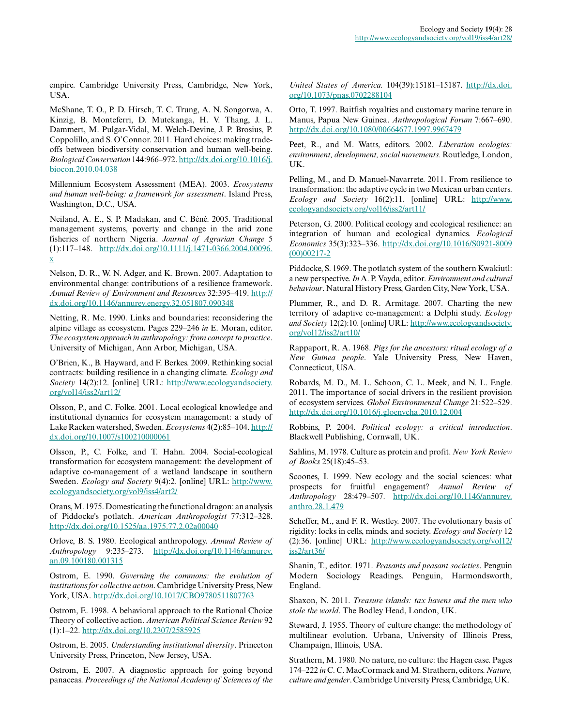empire. Cambridge University Press, Cambridge, New York, USA.

McShane, T. O., P. D. Hirsch, T. C. Trung, A. N. Songorwa, A. Kinzig, B. Monteferri, D. Mutekanga, H. V. Thang, J. L. Dammert, M. Pulgar-Vidal, M. Welch-Devine, J. P. Brosius, P. Coppolillo, and S. O'Connor. 2011. Hard choices: making tradeoffs between biodiversity conservation and human well-being. *Biological Conservation* 144:966–972. [http://dx.doi.org/10.1016/j.](http://dx.doi.org/10.1016%2Fj.biocon.2010.04.038) [biocon.2010.04.038](http://dx.doi.org/10.1016%2Fj.biocon.2010.04.038)

Millennium Ecosystem Assessment (MEA). 2003. *Ecosystems and human well-being: a framework for assessment*. Island Press, Washington, D.C., USA.

Neiland, A. E., S. P. Madakan, and C. Béné. 2005. Traditional management systems, poverty and change in the arid zone fisheries of northern Nigeria. *Journal of Agrarian Change* 5 (1):117–148. [http://dx.doi.org/10.1111/j.1471-0366.2004.00096.](http://dx.doi.org/10.1111%2Fj.1471-0366.2004.00096.x) [x](http://dx.doi.org/10.1111%2Fj.1471-0366.2004.00096.x)

Nelson, D. R., W. N. Adger, and K. Brown. 2007. Adaptation to environmental change: contributions of a resilience framework. *Annual Review of Environment and Resources* 32:395–419. [http://](http://dx.doi.org/10.1146%2Fannurev.energy.32.051807.090348) [dx.doi.org/10.1146/annurev.energy.32.051807.090348](http://dx.doi.org/10.1146%2Fannurev.energy.32.051807.090348) 

Netting, R. Mc. 1990. Links and boundaries: reconsidering the alpine village as ecosystem. Pages 229–246 *in* E. Moran, editor. *The ecosystem approach in anthropology: from concept to practice*. University of Michigan, Ann Arbor, Michigan, USA.

O'Brien, K., B. Hayward, and F. Berkes. 2009. Rethinking social contracts: building resilience in a changing climate. *Ecology and Society* 14(2):12. [online] URL: [http://www.ecologyandsociety.](http://www.ecologyandsociety.org/vol14/iss2/art12/) [org/vol14/iss2/art12/](http://www.ecologyandsociety.org/vol14/iss2/art12/)

Olsson, P., and C. Folke. 2001. Local ecological knowledge and institutional dynamics for ecosystem management: a study of Lake Racken watershed, Sweden. *Ecosystems* 4(2):85–104. [http://](http://dx.doi.org/10.1007%2Fs100210000061) [dx.doi.org/10.1007/s100210000061](http://dx.doi.org/10.1007%2Fs100210000061)

Olsson, P., C. Folke, and T. Hahn. 2004. Social-ecological transformation for ecosystem management: the development of adaptive co-management of a wetland landscape in southern Sweden. *Ecology and Society* 9(4):2. [online] URL: [http://www.](http://www.ecologyandsociety.org/vol9/iss4/art2/) [ecologyandsociety.org/vol9/iss4/art2/](http://www.ecologyandsociety.org/vol9/iss4/art2/)

Orans, M. 1975. Domesticating the functional dragon: an analysis of Piddocke's potlatch. *American Anthropologist* 77:312–328. [http://dx.doi.org/10.1525/aa.1975.77.2.02a00040](http://dx.doi.org/10.1525%2Faa.1975.77.2.02a00040) 

Orlove, B. S. 1980. Ecological anthropology. *Annual Review of Anthropology* 9:235–273. [http://dx.doi.org/10.1146/annurev.](http://dx.doi.org/10.1146%2Fannurev.an.09.100180.001315) [an.09.100180.001315](http://dx.doi.org/10.1146%2Fannurev.an.09.100180.001315) 

Ostrom, E. 1990. *Governing the commons: the evolution of institutions for collective action*. Cambridge University Press, New York, USA. [http://dx.doi.org/10.1017/CBO9780511807763](http://dx.doi.org/10.1017%2FCBO9780511807763) 

Ostrom, E. 1998. A behavioral approach to the Rational Choice Theory of collective action. *American Political Science Review* 92 (1):1–22. [http://dx.doi.org/10.2307/2585925](http://dx.doi.org/10.2307%2F2585925)

Ostrom, E. 2005. *Understanding institutional diversity*. Princeton University Press, Princeton, New Jersey, USA.

Ostrom, E. 2007. A diagnostic approach for going beyond panaceas. *Proceedings of the National Academy of Sciences of the*

*United States of America.* 104(39):15181–15187. [http://dx.doi.](http://dx.doi.org/10.1073%2Fpnas.0702288104) [org/10.1073/pnas.0702288104](http://dx.doi.org/10.1073%2Fpnas.0702288104) 

Otto, T. 1997. Baitfish royalties and customary marine tenure in Manus, Papua New Guinea. *Anthropological Forum* 7:667–690. [http://dx.doi.org/10.1080/00664677.1997.9967479](http://dx.doi.org/10.1080%2F00664677.1997.9967479) 

Peet, R., and M. Watts, editors. 2002. *Liberation ecologies: environment, development, social movements.* Routledge, London, UK.

Pelling, M., and D. Manuel-Navarrete. 2011. From resilience to transformation: the adaptive cycle in two Mexican urban centers. *Ecology and Society* 16(2):11. [online] URL: [http://www.](http://www.ecologyandsociety.org/vol16/iss2/art11/) [ecologyandsociety.org/vol16/iss2/art11/](http://www.ecologyandsociety.org/vol16/iss2/art11/)

Peterson, G. 2000. Political ecology and ecological resilience: an integration of human and ecological dynamics. *Ecological Economics* 35(3):323–336. [http://dx.doi.org/10.1016/S0921-8009](http://dx.doi.org/10.1016%2FS0921-8009%2800%2900217-2) [\(00\)00217-2](http://dx.doi.org/10.1016%2FS0921-8009%2800%2900217-2) 

Piddocke, S. 1969. The potlatch system of the southern Kwakiutl: a new perspective. *In* A. P. Vayda, editor. *Environment and cultural behaviour*. Natural History Press, Garden City, New York, USA.

Plummer, R., and D. R. Armitage. 2007. Charting the new territory of adaptive co-management: a Delphi study. *Ecology and Society* 12(2):10. [online] URL: [http://www.ecologyandsociety.](http://www.ecologyandsociety.org/vol12/iss2/art10/) [org/vol12/iss2/art10/](http://www.ecologyandsociety.org/vol12/iss2/art10/)

Rappaport, R. A. 1968. *Pigs for the ancestors: ritual ecology of a New Guinea people*. Yale University Press, New Haven, Connecticut, USA.

Robards, M. D., M. L. Schoon, C. L. Meek, and N. L. Engle. 2011. The importance of social drivers in the resilient provision of ecosystem services. *Global Environmental Change* 21:522–529. [http://dx.doi.org/10.1016/j.gloenvcha.2010.12.004](http://dx.doi.org/10.1016%2Fj.gloenvcha.2010.12.004)

Robbins, P. 2004. *Political ecology: a critical introduction*. Blackwell Publishing, Cornwall, UK.

Sahlins, M. 1978. Culture as protein and profit. *New York Review of Books* 25(18):45–53.

Scoones, I. 1999. New ecology and the social sciences: what prospects for fruitful engagement? *Annual Review of Anthropology* 28:479–507. [http://dx.doi.org/10.1146/annurev.](http://dx.doi.org/10.1146%2Fannurev.anthro.28.1.479) [anthro.28.1.479](http://dx.doi.org/10.1146%2Fannurev.anthro.28.1.479)

Scheffer, M., and F. R. Westley. 2007. The evolutionary basis of rigidity: locks in cells, minds, and society. *Ecology and Society* 12 (2):36. [online] URL: [http://www.ecologyandsociety.org/vol12/](http://www.ecologyandsociety.org/vol12/iss2/art36/) [iss2/art36/](http://www.ecologyandsociety.org/vol12/iss2/art36/) 

Shanin, T., editor. 1971. *Peasants and peasant societies*. Penguin Modern Sociology Readings. Penguin, Harmondsworth, England.

Shaxon, N. 2011. *Treasure islands: tax havens and the men who stole the world*. The Bodley Head, London, UK.

Steward, J. 1955. Theory of culture change: the methodology of multilinear evolution. Urbana, University of Illinois Press, Champaign, Illinois, USA.

Strathern, M. 1980. No nature, no culture: the Hagen case. Pages 174–222 *in* C. C. MacCormack and M. Strathern, editors. *Nature, culture and gender*. Cambridge University Press, Cambridge, UK.